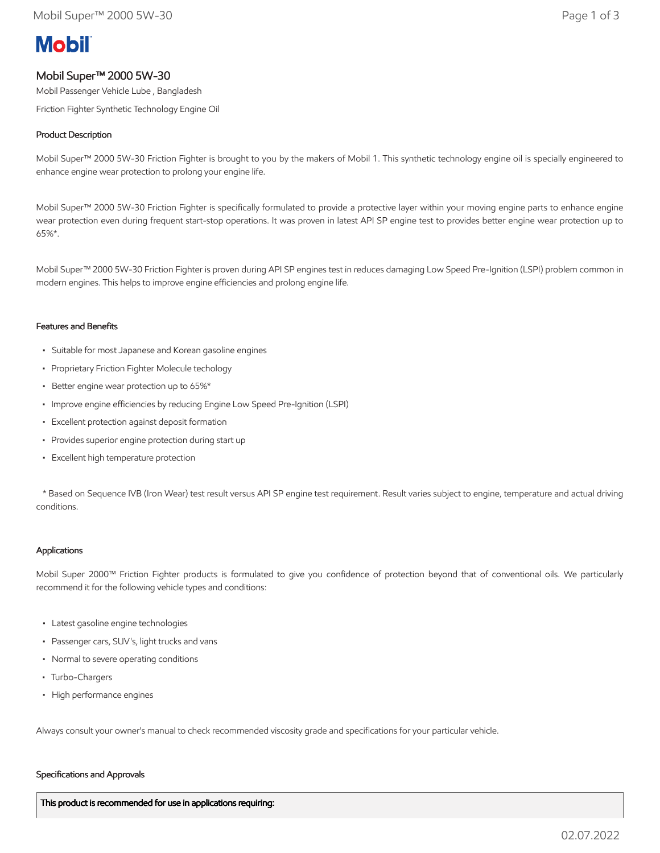# **Mobil**

# Mobil Super™ 2000 5W-30

Mobil Passenger Vehicle Lube , Bangladesh

Friction Fighter Synthetic Technology Engine Oil

# Product Description

Mobil Super™ 2000 5W-30 Friction Fighter is brought to you by the makers of Mobil 1. This synthetic technology engine oil is specially engineered to enhance engine wear protection to prolong your engine life.

Mobil Super™ 2000 5W-30 Friction Fighter is specifically formulated to provide a protective layer within your moving engine parts to enhance engine wear protection even during frequent start-stop operations. It was proven in latest API SP engine test to provides better engine wear protection up to 65%\*.

Mobil Super™ 2000 5W-30 Friction Fighter is proven during API SP engines test in reduces damaging Low Speed Pre-Ignition (LSPI) problem common in modern engines. This helps to improve engine efficiencies and prolong engine life.

## Features and Benefits

- Suitable for most Japanese and Korean gasoline engines
- Proprietary Friction Fighter Molecule techology
- Better engine wear protection up to 65%\*
- Improve engine efficiencies by reducing Engine Low Speed Pre-Ignition (LSPI)
- Excellent protection against deposit formation
- Provides superior engine protection during start up
- Excellent high temperature protection

 \* Based on Sequence IVB (Iron Wear) test result versus API SP engine test requirement. Result varies subject to engine, temperature and actual driving conditions.

## Applications

Mobil Super 2000™ Friction Fighter products is formulated to give you confidence of protection beyond that of conventional oils. We particularly recommend it for the following vehicle types and conditions:

- Latest gasoline engine technologies
- Passenger cars, SUV's, light trucks and vans
- Normal to severe operating conditions
- Turbo-Chargers
- High performance engines

Always consult your owner's manual to check recommended viscosity grade and specifications for your particular vehicle.

#### Specifications and Approvals

This product is recommended for use in applications requiring: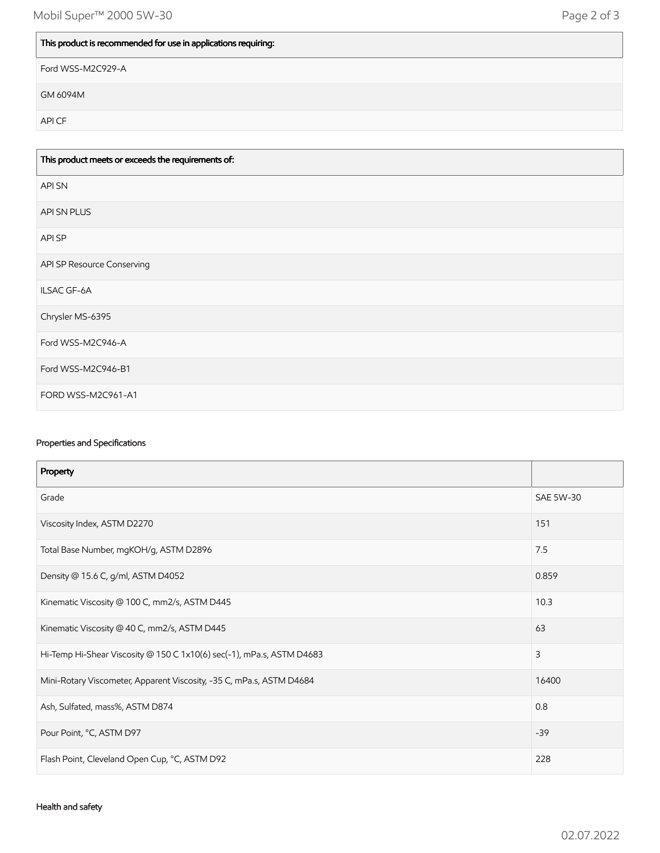# This product is recommended for use in applications requiring:

Ford WSS-M2C929-A

GM 6094M

API CF

| This product meets or exceeds the requirements of: |
|----------------------------------------------------|
| <b>APISN</b>                                       |
| API SN PLUS                                        |
| API SP                                             |
| API SP Resource Conserving                         |
| ILSAC GF-6A                                        |
| Chrysler MS-6395                                   |
| Ford WSS-M2C946-A                                  |
| Ford WSS-M2C946-B1                                 |
| FORD WSS-M2C961-A1                                 |

# Properties and Specifications

| Property                                                              |                  |
|-----------------------------------------------------------------------|------------------|
| Grade                                                                 | <b>SAE 5W-30</b> |
| Viscosity Index, ASTM D2270                                           | 151              |
| Total Base Number, mgKOH/g, ASTM D2896                                | 7.5              |
| Density @ 15.6 C, g/ml, ASTM D4052                                    | 0.859            |
| Kinematic Viscosity @ 100 C, mm2/s, ASTM D445                         | 10.3             |
| Kinematic Viscosity @ 40 C, mm2/s, ASTM D445                          | 63               |
| Hi-Temp Hi-Shear Viscosity @ 150 C 1x10(6) sec(-1), mPa.s, ASTM D4683 | 3                |
| Mini-Rotary Viscometer, Apparent Viscosity, -35 C, mPa.s, ASTM D4684  | 16400            |
| Ash, Sulfated, mass%, ASTM D874                                       | 0.8              |
| Pour Point, °C, ASTM D97                                              | $-39$            |
| Flash Point, Cleveland Open Cup, °C, ASTM D92                         | 228              |